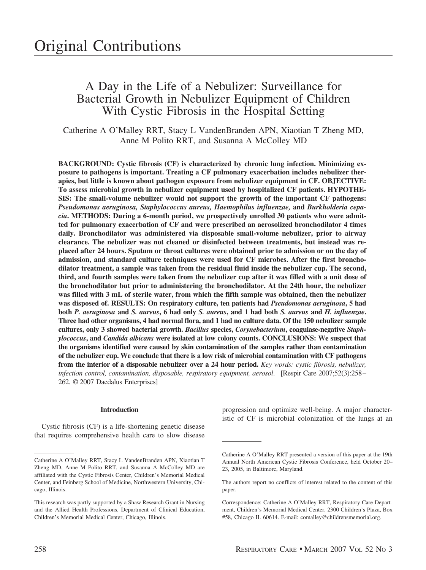# A Day in the Life of a Nebulizer: Surveillance for Bacterial Growth in Nebulizer Equipment of Children With Cystic Fibrosis in the Hospital Setting

Catherine A O'Malley RRT, Stacy L VandenBranden APN, Xiaotian T Zheng MD, Anne M Polito RRT, and Susanna A McColley MD

**BACKGROUND: Cystic fibrosis (CF) is characterized by chronic lung infection. Minimizing exposure to pathogens is important. Treating a CF pulmonary exacerbation includes nebulizer therapies, but little is known about pathogen exposure from nebulizer equipment in CF. OBJECTIVE: To assess microbial growth in nebulizer equipment used by hospitalized CF patients. HYPOTHE-SIS: The small-volume nebulizer would not support the growth of the important CF pathogens:** *Pseudomonas aeruginosa, Staphylococcus aureus, Haemophilus influenzae,* **and** *Burkholderia cepacia***. METHODS: During a 6-month period, we prospectively enrolled 30 patients who were admitted for pulmonary exacerbation of CF and were prescribed an aerosolized bronchodilator 4 times daily. Bronchodilator was administered via disposable small-volume nebulizer, prior to airway clearance. The nebulizer was not cleaned or disinfected between treatments, but instead was replaced after 24 hours. Sputum or throat cultures were obtained prior to admission or on the day of admission, and standard culture techniques were used for CF microbes. After the first bronchodilator treatment, a sample was taken from the residual fluid inside the nebulizer cup. The second, third, and fourth samples were taken from the nebulizer cup after it was filled with a unit dose of the bronchodilator but prior to administering the bronchodilator. At the 24th hour, the nebulizer was filled with 3 mL of sterile water, from which the fifth sample was obtained, then the nebulizer was disposed of. RESULTS: On respiratory culture, ten patients had** *Pseudomonas aeruginosa***, 5 had both** *P. aeruginosa* **and** *S. aureus***, 6 had only** *S. aureus***, and 1 had both** *S. aureus* **and** *H. influenzae***. Three had other organisms, 4 had normal flora, and 1 had no culture data. Of the 150 nebulizer sample cultures, only 3 showed bacterial growth.** *Bacillus* **species,** *Corynebacterium***, coagulase-negative** *Staphylococcus***, and** *Candida albicans* **were isolated at low colony counts. CONCLUSIONS: We suspect that the organisms identified were caused by skin contamination of the samples rather than contamination of the nebulizer cup. We conclude that there is a low risk of microbial contamination with CF pathogens from the interior of a disposable nebulizer over a 24 hour period.** *Key words: cystic fibrosis, nebulizer, infection control, contamination, disposable, respiratory equipment, aerosol*. [Respir Care 2007;52(3):258 – 262. © 2007 Daedalus Enterprises]

## **Introduction**

Cystic fibrosis (CF) is a life-shortening genetic disease that requires comprehensive health care to slow disease

progression and optimize well-being. A major characteristic of CF is microbial colonization of the lungs at an

Catherine A O'Malley RRT, Stacy L VandenBranden APN, Xiaotian T Zheng MD, Anne M Polito RRT, and Susanna A McColley MD are affiliated with the Cystic Fibrosis Center, Children's Memorial Medical Center, and Feinberg School of Medicine, Northwestern University, Chicago, Illinois.

This research was partly supported by a Shaw Research Grant in Nursing and the Allied Health Professions, Department of Clinical Education, Children's Memorial Medical Center, Chicago, Illinois.

Catherine A O'Malley RRT presented a version of this paper at the 19th Annual North American Cystic Fibrosis Conference, held October 20– 23, 2005, in Baltimore, Maryland.

The authors report no conflicts of interest related to the content of this paper.

Correspondence: Catherine A O'Malley RRT, Respiratory Care Department, Children's Memorial Medical Center, 2300 Children's Plaza, Box #58, Chicago IL 60614. E-mail: comalley@childrensmemorial.org.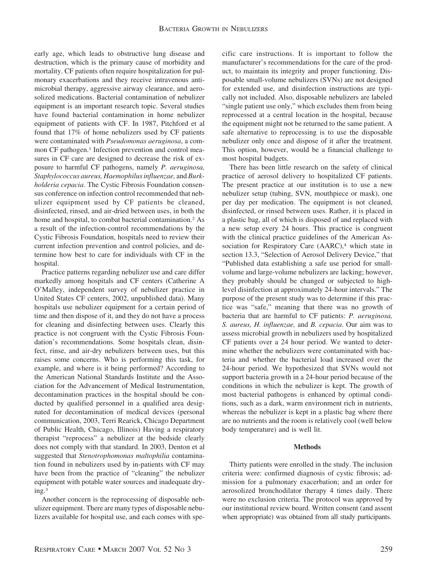early age, which leads to obstructive lung disease and destruction, which is the primary cause of morbidity and mortality. CF patients often require hospitalization for pulmonary exacerbations and they receive intravenous antimicrobial therapy, aggressive airway clearance, and aerosolized medications. Bacterial contamination of nebulizer equipment is an important research topic. Several studies have found bacterial contamination in home nebulizer equipment of patients with CF. In 1987, Pitchford et al found that 17% of home nebulizers used by CF patients were contaminated with *Pseudomonas aeruginosa*, a common CF pathogen.<sup>1</sup> Infection prevention and control measures in CF care are designed to decrease the risk of exposure to harmful CF pathogens, namely *P. aeruginosa, Staphylococcus aureus, Haemophilus influenzae,* and *Burkholderia cepacia*. The Cystic Fibrosis Foundation consensus conference on infection control recommended that nebulizer equipment used by CF patients be cleaned, disinfected, rinsed, and air-dried between uses, in both the home and hospital, to combat bacterial contamination.<sup>2</sup> As a result of the infection-control recommendations by the Cystic Fibrosis Foundation, hospitals need to review their current infection prevention and control policies, and determine how best to care for individuals with CF in the hospital.

Practice patterns regarding nebulizer use and care differ markedly among hospitals and CF centers (Catherine A O'Malley, independent survey of nebulizer practice in United States CF centers, 2002, unpublished data). Many hospitals use nebulizer equipment for a certain period of time and then dispose of it, and they do not have a process for cleaning and disinfecting between uses. Clearly this practice is not congruent with the Cystic Fibrosis Foundation's recommendations. Some hospitals clean, disinfect, rinse, and air-dry nebulizers between uses, but this raises some concerns. Who is performing this task, for example, and where is it being performed? According to the American National Standards Institute and the Association for the Advancement of Medical Instrumentation, decontamination practices in the hospital should be conducted by qualified personnel in a qualified area designated for decontamination of medical devices (personal communication, 2003, Terri Rearick, Chicago Department of Public Health, Chicago, Illinois) Having a respiratory therapist "reprocess" a nebulizer at the bedside clearly does not comply with that standard. In 2003, Denton et al suggested that *Stenotrophomonas maltophilia* contamination found in nebulizers used by in-patients with CF may have been from the practice of "cleaning" the nebulizer equipment with potable water sources and inadequate drying.3

Another concern is the reprocessing of disposable nebulizer equipment. There are many types of disposable nebulizers available for hospital use, and each comes with specific care instructions. It is important to follow the manufacturer's recommendations for the care of the product, to maintain its integrity and proper functioning. Disposable small-volume nebulizers (SVNs) are not designed for extended use, and disinfection instructions are typically not included. Also, disposable nebulizers are labeled "single patient use only," which excludes them from being reprocessed at a central location in the hospital, because the equipment might not be returned to the same patient. A safe alternative to reprocessing is to use the disposable nebulizer only once and dispose of it after the treatment. This option, however, would be a financial challenge to most hospital budgets.

There has been little research on the safety of clinical practice of aerosol delivery to hospitalized CF patients. The present practice at our institution is to use a new nebulizer setup (tubing, SVN, mouthpiece or mask), one per day per medication. The equipment is not cleaned, disinfected, or rinsed between uses. Rather, it is placed in a plastic bag, all of which is disposed of and replaced with a new setup every 24 hours. This practice is congruent with the clinical practice guidelines of the American Association for Respiratory Care (AARC),<sup>4</sup> which state in section 13.3, "Selection of Aerosol Delivery Device," that "Published data establishing a safe use period for smallvolume and large-volume nebulizers are lacking; however, they probably should be changed or subjected to highlevel disinfection at approximately 24-hour intervals." The purpose of the present study was to determine if this practice was "safe," meaning that there was no growth of bacteria that are harmful to CF patients: *P. aeruginosa, S. aureus, H. influenzae,* and *B. cepacia*. Our aim was to assess microbial growth in nebulizers used by hospitalized CF patients over a 24 hour period. We wanted to determine whether the nebulizers were contaminated with bacteria and whether the bacterial load increased over the 24-hour period. We hypothesized that SVNs would not support bacteria growth in a 24-hour period because of the conditions in which the nebulizer is kept. The growth of most bacterial pathogens is enhanced by optimal conditions, such as a dark, warm environment rich in nutrients, whereas the nebulizer is kept in a plastic bag where there are no nutrients and the room is relatively cool (well below body temperature) and is well lit.

# **Methods**

Thirty patients were enrolled in the study. The inclusion criteria were: confirmed diagnosis of cystic fibrosis; admission for a pulmonary exacerbation; and an order for aerosolized bronchodilator therapy 4 times daily. There were no exclusion criteria. The protocol was approved by our institutional review board. Written consent (and assent when appropriate) was obtained from all study participants.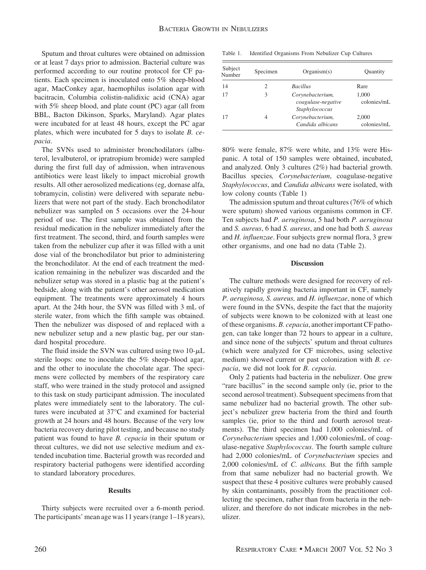Sputum and throat cultures were obtained on admission or at least 7 days prior to admission. Bacterial culture was performed according to our routine protocol for CF patients. Each specimen is inoculated onto 5% sheep-blood agar, MacConkey agar, haemophilus isolation agar with bacitracin, Columbia colistin-nalidixic acid (CNA) agar with 5% sheep blood, and plate count (PC) agar (all from BBL, Bacton Dikinson, Sparks, Maryland). Agar plates were incubated for at least 48 hours, except the PC agar plates, which were incubated for 5 days to isolate *B. cepacia*.

The SVNs used to administer bronchodilators (albuterol, levalbuterol, or ipratropium bromide) were sampled during the first full day of admission, when intravenous antibiotics were least likely to impact microbial growth results. All other aerosolized medications (eg, dornase alfa, tobramycin, colistin) were delivered with separate nebulizers that were not part of the study. Each bronchodilator nebulizer was sampled on 5 occasions over the 24-hour period of use. The first sample was obtained from the residual medication in the nebulizer immediately after the first treatment. The second, third, and fourth samples were taken from the nebulizer cup after it was filled with a unit dose vial of the bronchodilator but prior to administering the bronchodilator. At the end of each treatment the medication remaining in the nebulizer was discarded and the nebulizer setup was stored in a plastic bag at the patient's bedside, along with the patient's other aerosol medication equipment. The treatments were approximately 4 hours apart. At the 24th hour, the SVN was filled with 3 mL of sterile water, from which the fifth sample was obtained. Then the nebulizer was disposed of and replaced with a new nebulizer setup and a new plastic bag, per our standard hospital procedure.

The fluid inside the SVN was cultured using two  $10-\mu L$ sterile loops: one to inoculate the 5% sheep-blood agar, and the other to inoculate the chocolate agar. The specimens were collected by members of the respiratory care staff, who were trained in the study protocol and assigned to this task on study participant admission. The inoculated plates were immediately sent to the laboratory. The cultures were incubated at 37°C and examined for bacterial growth at 24 hours and 48 hours. Because of the very low bacteria recovery during pilot testing, and because no study patient was found to have *B. cepacia* in their sputum or throat cultures, we did not use selective medium and extended incubation time. Bacterial growth was recorded and respiratory bacterial pathogens were identified according to standard laboratory procedures.

#### **Results**

Thirty subjects were recruited over a 6-month period. The participants' mean age was 11 years (range 1–18 years),

Table 1. Identified Organisms From Nebulizer Cup Cultures

| Subject<br>Number | Specimen | Organism(s)                                              | Quantity             |
|-------------------|----------|----------------------------------------------------------|----------------------|
| 14                | 2        | <b>Bacillus</b>                                          | Rare                 |
| 17                | 3        | Corynebacterium,<br>coagulase-negative<br>Staphylococcus | 1,000<br>colonies/mL |
| 17                | 4        | Corynebacterium,<br>Candida albicans                     | 2.000<br>colonies/mL |

80% were female, 87% were white, and 13% were Hispanic. A total of 150 samples were obtained, incubated, and analyzed. Only 3 cultures (2%) had bacterial growth. Bacillus species*, Corynebacterium*, coagulase-negative *Staphylococcus*, and *Candida albicans* were isolated, with low colony counts (Table 1)

The admission sputum and throat cultures (76% of which were sputum) showed various organisms common in CF. Ten subjects had *P. aeruginosa*, 5 had both *P. aeruginosa* and *S. aureus*, 6 had *S. aureus*, and one had both *S. aureus* and *H. influenzae*. Four subjects grew normal flora, 3 grew other organisms, and one had no data (Table 2).

#### **Discussion**

The culture methods were designed for recovery of relatively rapidly growing bacteria important in CF, namely *P. aeruginosa, S. aureus,* and *H. influenzae*, none of which were found in the SVNs, despite the fact that the majority of subjects were known to be colonized with at least one of these organisms. *B. cepacia*, another important CF pathogen, can take longer than 72 hours to appear in a culture, and since none of the subjects' sputum and throat cultures (which were analyzed for CF microbes, using selective medium) showed current or past colonization with *B. cepacia*, we did not look for *B. cepacia*.

Only 2 patients had bacteria in the nebulizer. One grew "rare bacillus" in the second sample only (ie, prior to the second aerosol treatment). Subsequent specimens from that same nebulizer had no bacterial growth. The other subject's nebulizer grew bacteria from the third and fourth samples (ie, prior to the third and fourth aerosol treatments). The third specimen had 1,000 colonies/mL of *Corynebacterium* species and 1,000 colonies/mL of coagulase-negative *Staphylococcus*. The fourth sample culture had 2,000 colonies/mL of *Corynebacterium* species and 2,000 colonies/mL of *C. albicans.* But the fifth sample from that same nebulizer had no bacterial growth. We suspect that these 4 positive cultures were probably caused by skin contaminants, possibly from the practitioner collecting the specimen, rather than from bacteria in the nebulizer, and therefore do not indicate microbes in the nebulizer.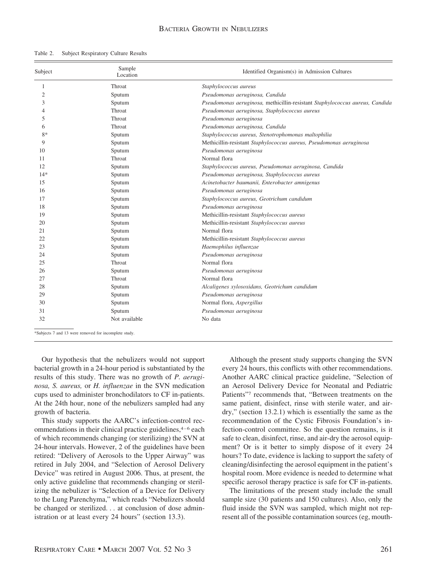| Table 2. |  | Subject Respiratory Culture Results |  |  |
|----------|--|-------------------------------------|--|--|
|----------|--|-------------------------------------|--|--|

| Subject        | Sample<br>Location                                    | Identified Organism(s) in Admission Cultures                                 |  |
|----------------|-------------------------------------------------------|------------------------------------------------------------------------------|--|
| 1              | Throat                                                | Staphylococcus aureus                                                        |  |
| $\overline{c}$ | Sputum                                                | Pseudomonas aeruginosa, Candida                                              |  |
| 3              | Sputum                                                | Pseudomonas aeruginosa, methicillin-resistant Staphylococcus aureus, Candida |  |
| 4              | Throat                                                | Pseudomonas aeruginosa, Staphylococcus aureus                                |  |
| 5              | Throat                                                | Pseudomonas aeruginosa                                                       |  |
| 6              | Throat                                                | Pseudomonas aeruginosa, Candida                                              |  |
| $8*$           | Sputum                                                | Staphylococcus aureus, Stenotrophomonas maltophilia                          |  |
| 9              | Sputum                                                | Methicillin-resistant Staphylococcus aureus, Pseudomonas aeruginosa          |  |
| 10             | Sputum                                                | Pseudomonas aeruginosa                                                       |  |
| 11             | Throat                                                | Normal flora                                                                 |  |
| 12             | Sputum                                                | Staphylococcus aureus, Pseudomonas aeruginosa, Candida                       |  |
| $14*$          | Sputum                                                | Pseudomonas aeruginosa, Staphylococcus aureus                                |  |
| 15             | Sputum                                                | Acinetobacter baumanii, Enterobacter amnigenus                               |  |
| 16             | Sputum                                                | Pseudomonas aeruginosa                                                       |  |
| 17             | Sputum                                                | Staphylococcus aureus, Geotrichum candidum                                   |  |
| 18             | Sputum                                                | Pseudomonas aeruginosa                                                       |  |
| 19             | Sputum                                                | Methicillin-resistant Staphylococcus aureus                                  |  |
| 20             | Sputum                                                | Methicillin-resistant Staphylococcus aureus                                  |  |
| 21             | Sputum                                                | Normal flora                                                                 |  |
| 22             | Sputum                                                | Methicillin-resistant Staphylococcus aureus                                  |  |
| 23             | Sputum                                                | Haemophilus influenzae                                                       |  |
| 24             | Sputum                                                | Pseudomonas aeruginosa                                                       |  |
| 25             | Throat                                                | Normal flora                                                                 |  |
| 26             | Sputum                                                | Pseudomonas aeruginosa                                                       |  |
| 27             | Throat                                                | Normal flora                                                                 |  |
| 28             | Sputum                                                | Alcaligenes xylosoxidans, Geotrichum candidum                                |  |
| 29             | Sputum                                                | Pseudomonas aeruginosa                                                       |  |
| 30             | Sputum                                                | Normal flora, Aspergillus                                                    |  |
| 31             | Sputum                                                | Pseudomonas aeruginosa                                                       |  |
| 32             | Not available                                         | No data                                                                      |  |
|                | *Subjects 7 and 13 were removed for incomplete study. |                                                                              |  |

Our hypothesis that the nebulizers would not support bacterial growth in a 24-hour period is substantiated by the results of this study. There was no growth of *P. aeruginosa, S. aureus,* or *H. influenzae* in the SVN medication cups used to administer bronchodilators to CF in-patients. At the 24th hour, none of the nebulizers sampled had any growth of bacteria.

This study supports the AARC's infection-control recommendations in their clinical practice guidelines, $4-6$  each of which recommends changing (or sterilizing) the SVN at 24-hour intervals. However, 2 of the guidelines have been retired: "Delivery of Aerosols to the Upper Airway" was retired in July 2004, and "Selection of Aerosol Delivery Device" was retired in August 2006. Thus, at present, the only active guideline that recommends changing or sterilizing the nebulizer is "Selection of a Device for Delivery to the Lung Parenchyma," which reads "Nebulizers should be changed or sterilized. . . at conclusion of dose administration or at least every 24 hours" (section 13.3).

Although the present study supports changing the SVN every 24 hours, this conflicts with other recommendations. Another AARC clinical practice guideline, "Selection of an Aerosol Delivery Device for Neonatal and Pediatric Patients"7 recommends that, "Between treatments on the same patient, disinfect, rinse with sterile water, and airdry," (section 13.2.1) which is essentially the same as the recommendation of the Cystic Fibrosis Foundation's infection-control committee. So the question remains, is it safe to clean, disinfect, rinse, and air-dry the aerosol equipment? Or is it better to simply dispose of it every 24 hours? To date, evidence is lacking to support the safety of cleaning/disinfecting the aerosol equipment in the patient's hospital room. More evidence is needed to determine what specific aerosol therapy practice is safe for CF in-patients.

The limitations of the present study include the small sample size (30 patients and 150 cultures). Also, only the fluid inside the SVN was sampled, which might not represent all of the possible contamination sources (eg, mouth